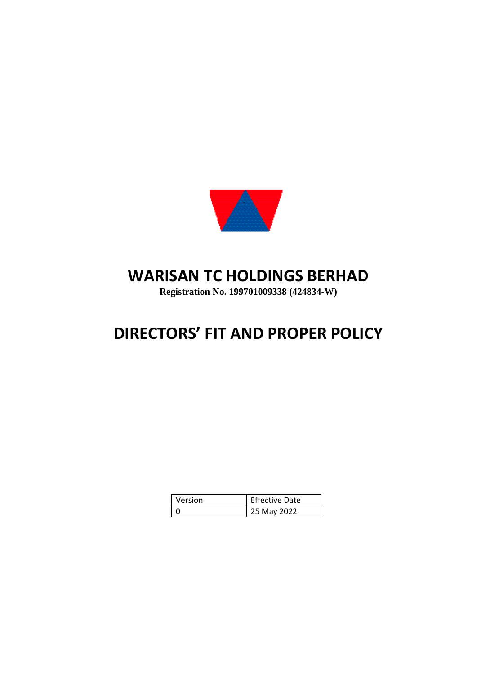

## **WARISAN TC HOLDINGS BERHAD**

**Registration No. 199701009338 (424834-W)**

# **DIRECTORS' FIT AND PROPER POLICY**

| Version | <b>Effective Date</b> |
|---------|-----------------------|
|         | 25 May 2022           |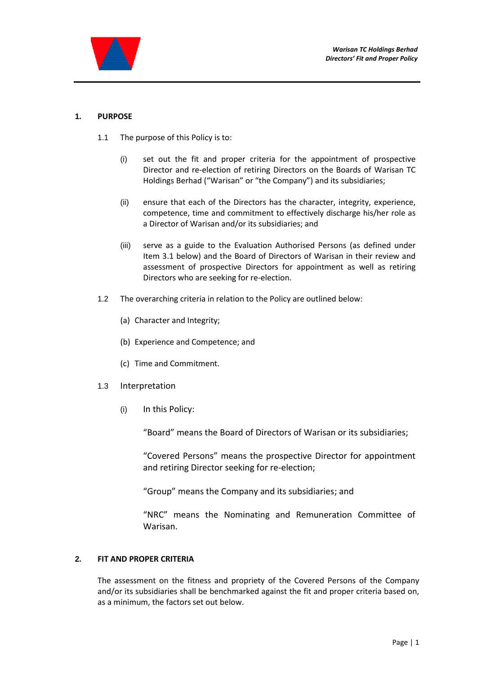

#### **1. PURPOSE**

- 1.1 The purpose of this Policy is to:
	- (i) set out the fit and proper criteria for the appointment of prospective Director and re-election of retiring Directors on the Boards of Warisan TC Holdings Berhad ("Warisan" or "the Company") and its subsidiaries;
	- (ii) ensure that each of the Directors has the character, integrity, experience, competence, time and commitment to effectively discharge his/her role as a Director of Warisan and/or its subsidiaries; and
	- (iii) serve as a guide to the Evaluation Authorised Persons (as defined under Item 3.1 below) and the Board of Directors of Warisan in their review and assessment of prospective Directors for appointment as well as retiring Directors who are seeking for re-election.
- 1.2 The overarching criteria in relation to the Policy are outlined below:
	- (a) Character and Integrity;
	- (b) Experience and Competence; and
	- (c) Time and Commitment.
- 1.3 Interpretation
	- (i) In this Policy:

"Board" means the Board of Directors of Warisan or its subsidiaries;

"Covered Persons" means the prospective Director for appointment and retiring Director seeking for re-election;

"Group" means the Company and its subsidiaries; and

"NRC" means the Nominating and Remuneration Committee of Warisan.

#### **2. FIT AND PROPER CRITERIA**

The assessment on the fitness and propriety of the Covered Persons of the Company and/or its subsidiaries shall be benchmarked against the fit and proper criteria based on, as a minimum, the factors set out below.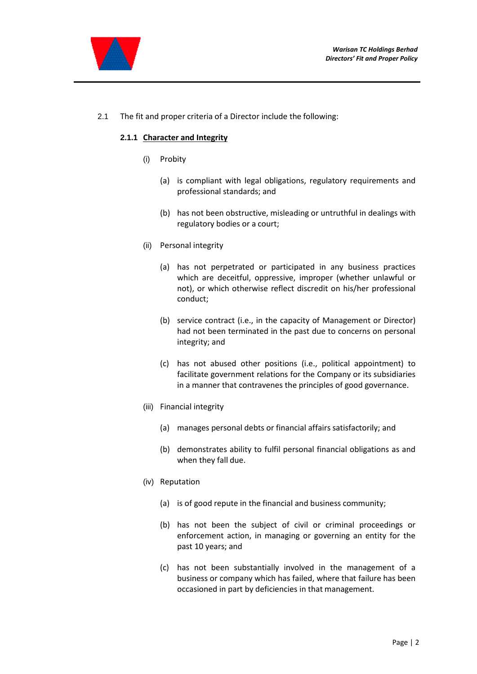

2.1 The fit and proper criteria of a Director include the following:

#### **2.1.1 Character and Integrity**

- (i) Probity
	- (a) is compliant with legal obligations, regulatory requirements and professional standards; and
	- (b) has not been obstructive, misleading or untruthful in dealings with regulatory bodies or a court;
- (ii) Personal integrity
	- (a) has not perpetrated or participated in any business practices which are deceitful, oppressive, improper (whether unlawful or not), or which otherwise reflect discredit on his/her professional conduct;
	- (b) service contract (i.e., in the capacity of Management or Director) had not been terminated in the past due to concerns on personal integrity; and
	- (c) has not abused other positions (i.e., political appointment) to facilitate government relations for the Company or its subsidiaries in a manner that contravenes the principles of good governance.
- (iii) Financial integrity
	- (a) manages personal debts or financial affairs satisfactorily; and
	- (b) demonstrates ability to fulfil personal financial obligations as and when they fall due.
- (iv) Reputation
	- (a) is of good repute in the financial and business community;
	- (b) has not been the subject of civil or criminal proceedings or enforcement action, in managing or governing an entity for the past 10 years; and
	- (c) has not been substantially involved in the management of a business or company which has failed, where that failure has been occasioned in part by deficiencies in that management.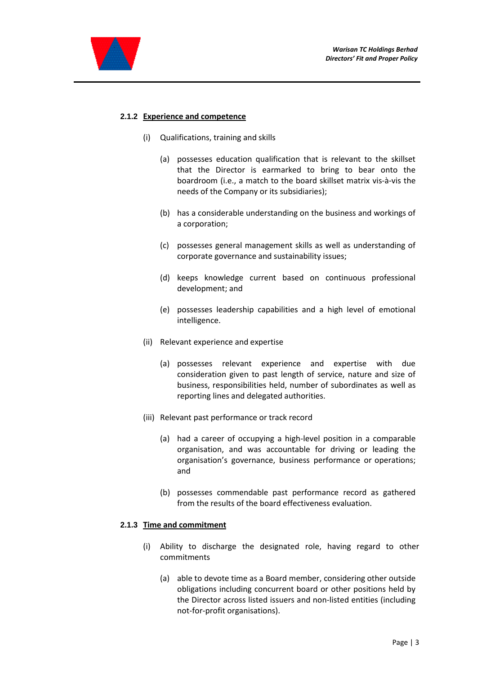

#### **2.1.2 Experience and competence**

- (i) Qualifications, training and skills
	- (a) possesses education qualification that is relevant to the skillset that the Director is earmarked to bring to bear onto the boardroom (i.e., a match to the board skillset matrix vis-à-vis the needs of the Company or its subsidiaries);
	- (b) has a considerable understanding on the business and workings of a corporation;
	- (c) possesses general management skills as well as understanding of corporate governance and sustainability issues;
	- (d) keeps knowledge current based on continuous professional development; and
	- (e) possesses leadership capabilities and a high level of emotional intelligence.
- (ii) Relevant experience and expertise
	- (a) possesses relevant experience and expertise with due consideration given to past length of service, nature and size of business, responsibilities held, number of subordinates as well as reporting lines and delegated authorities.
- (iii) Relevant past performance or track record
	- (a) had a career of occupying a high-level position in a comparable organisation, and was accountable for driving or leading the organisation's governance, business performance or operations; and
	- (b) possesses commendable past performance record as gathered from the results of the board effectiveness evaluation.

#### **2.1.3 Time and commitment**

- (i) Ability to discharge the designated role, having regard to other commitments
	- (a) able to devote time as a Board member, considering other outside obligations including concurrent board or other positions held by the Director across listed issuers and non-listed entities (including not-for-profit organisations).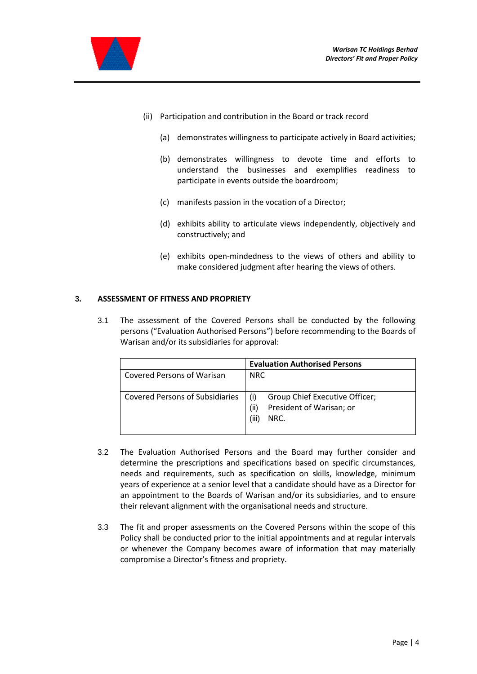



- (ii) Participation and contribution in the Board or track record
	- (a) demonstrates willingness to participate actively in Board activities;
	- (b) demonstrates willingness to devote time and efforts to understand the businesses and exemplifies readiness to participate in events outside the boardroom;
	- (c) manifests passion in the vocation of a Director;
	- (d) exhibits ability to articulate views independently, objectively and constructively; and
	- (e) exhibits open-mindedness to the views of others and ability to make considered judgment after hearing the views of others.

#### **3. ASSESSMENT OF FITNESS AND PROPRIETY**

3.1 The assessment of the Covered Persons shall be conducted by the following persons ("Evaluation Authorised Persons") before recommending to the Boards of Warisan and/or its subsidiaries for approval:

|                                        | <b>Evaluation Authorised Persons</b>                                                |
|----------------------------------------|-------------------------------------------------------------------------------------|
| Covered Persons of Warisan             | <b>NRC</b>                                                                          |
| <b>Covered Persons of Subsidiaries</b> | Group Chief Executive Officer;<br>President of Warisan; or<br>(ii)<br>(iii)<br>NRC. |

- 3.2 The Evaluation Authorised Persons and the Board may further consider and determine the prescriptions and specifications based on specific circumstances, needs and requirements, such as specification on skills, knowledge, minimum years of experience at a senior level that a candidate should have as a Director for an appointment to the Boards of Warisan and/or its subsidiaries, and to ensure their relevant alignment with the organisational needs and structure.
- 3.3 The fit and proper assessments on the Covered Persons within the scope of this Policy shall be conducted prior to the initial appointments and at regular intervals or whenever the Company becomes aware of information that may materially compromise a Director's fitness and propriety.